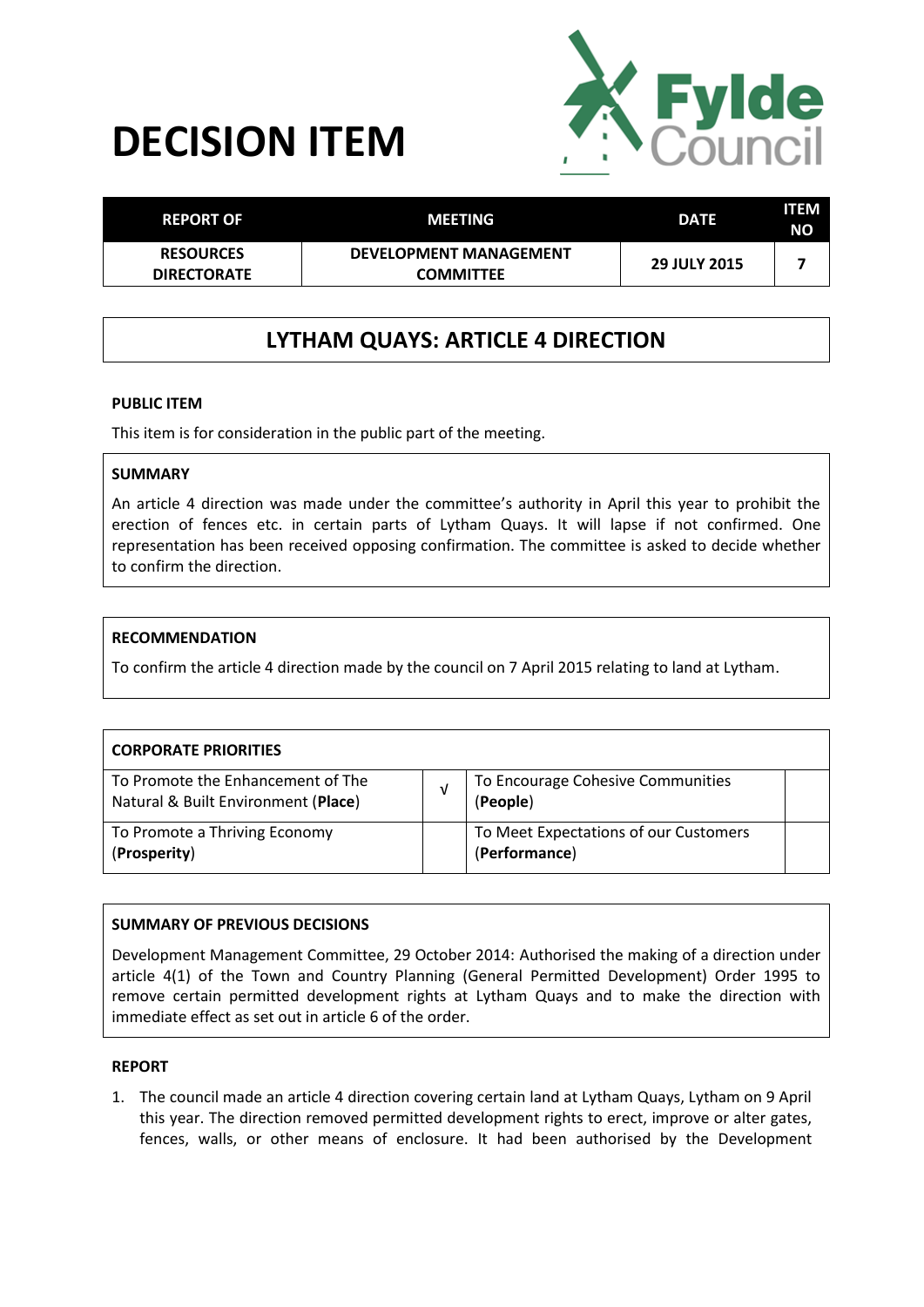# **DECISION ITEM**



| <b>REPORT OF</b>                       | MEETING                                           | <b>DATE</b>         | ITEM<br><b>NO</b> |
|----------------------------------------|---------------------------------------------------|---------------------|-------------------|
| <b>RESOURCES</b><br><b>DIRECTORATE</b> | <b>DEVELOPMENT MANAGEMENT</b><br><b>COMMITTEE</b> | <b>29 JULY 2015</b> |                   |

## **LYTHAM QUAYS: ARTICLE 4 DIRECTION**

#### **PUBLIC ITEM**

This item is for consideration in the public part of the meeting.

#### **SUMMARY**

An article 4 direction was made under the committee's authority in April this year to prohibit the erection of fences etc. in certain parts of Lytham Quays. It will lapse if not confirmed. One representation has been received opposing confirmation. The committee is asked to decide whether to confirm the direction.

#### **RECOMMENDATION**

To confirm the article 4 direction made by the council on 7 April 2015 relating to land at Lytham.

| <b>CORPORATE PRIORITIES</b>                                              |  |                                                        |  |  |
|--------------------------------------------------------------------------|--|--------------------------------------------------------|--|--|
| To Promote the Enhancement of The<br>Natural & Built Environment (Place) |  | To Encourage Cohesive Communities<br>(People)          |  |  |
| To Promote a Thriving Economy<br>(Prosperity)                            |  | To Meet Expectations of our Customers<br>(Performance) |  |  |

### **SUMMARY OF PREVIOUS DECISIONS**

Development Management Committee, 29 October 2014: Authorised the making of a direction under article 4(1) of the Town and Country Planning (General Permitted Development) Order 1995 to remove certain permitted development rights at Lytham Quays and to make the direction with immediate effect as set out in article 6 of the order.

#### **REPORT**

1. The council made an article 4 direction covering certain land at Lytham Quays, Lytham on 9 April this year. The direction removed permitted development rights to erect, improve or alter gates, fences, walls, or other means of enclosure. It had been authorised by the Development